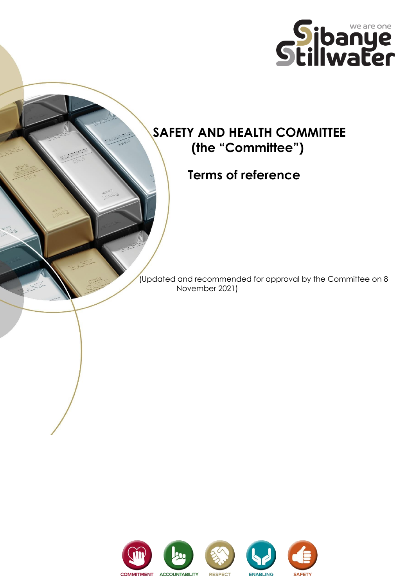

# **SAFETY AND HEALTH COMMITTEE (the "Committee")**

 **Terms of reference**

 (Updated and recommended for approval by the Committee on 8 November 2021)

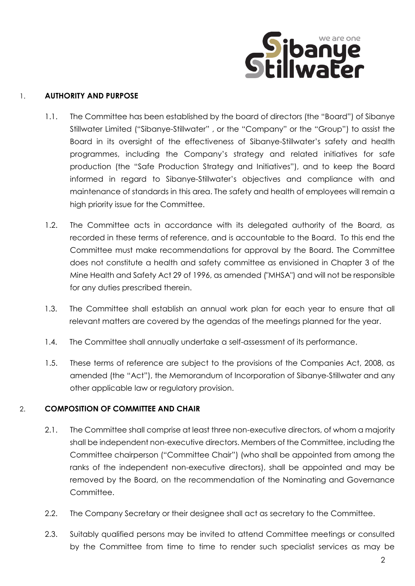

## 1. **AUTHORITY AND PURPOSE**

- 1.1. The Committee has been established by the board of directors (the "Board") of Sibanye Stillwater Limited ("Sibanye-Stillwater" , or the "Company" or the "Group") to assist the Board in its oversight of the effectiveness of Sibanye-Stillwater's safety and health programmes, including the Company's strategy and related initiatives for safe production (the "Safe Production Strategy and Initiatives"), and to keep the Board informed in regard to Sibanye-Stillwater's objectives and compliance with and maintenance of standards in this area. The safety and health of employees will remain a high priority issue for the Committee.
- 1.2. The Committee acts in accordance with its delegated authority of the Board, as recorded in these terms of reference, and is accountable to the Board. To this end the Committee must make recommendations for approval by the Board. The Committee does not constitute a health and safety committee as envisioned in Chapter 3 of the Mine Health and Safety Act 29 of 1996, as amended ("MHSA") and will not be responsible for any duties prescribed therein.
- 1.3. The Committee shall establish an annual work plan for each year to ensure that all relevant matters are covered by the agendas of the meetings planned for the year.
- 1.4. The Committee shall annually undertake a self-assessment of its performance.
- 1.5. These terms of reference are subject to the provisions of the Companies Act, 2008, as amended (the "Act"), the Memorandum of Incorporation of Sibanye-Stillwater and any other applicable law or regulatory provision.

# 2. **COMPOSITION OF COMMITTEE AND CHAIR**

- 2.1. The Committee shall comprise at least three non-executive directors, of whom a majority shall be independent non-executive directors. Members of the Committee, including the Committee chairperson ("Committee Chair") (who shall be appointed from among the ranks of the independent non-executive directors), shall be appointed and may be removed by the Board, on the recommendation of the Nominating and Governance Committee.
- 2.2. The Company Secretary or their designee shall act as secretary to the Committee.
- 2.3. Suitably qualified persons may be invited to attend Committee meetings or consulted by the Committee from time to time to render such specialist services as may be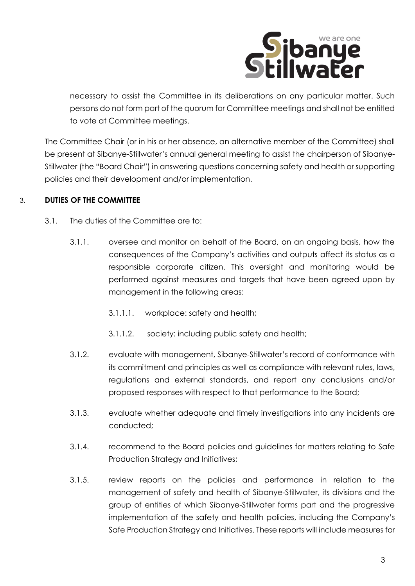

necessary to assist the Committee in its deliberations on any particular matter. Such persons do not form part of the quorum for Committee meetings and shall not be entitled to vote at Committee meetings.

The Committee Chair (or in his or her absence, an alternative member of the Committee) shall be present at Sibanye-Stillwater's annual general meeting to assist the chairperson of Sibanye-Stillwater (the "Board Chair") in answering questions concerning safety and health or supporting policies and their development and/or implementation.

# 3. **DUTIES OF THE COMMITTEE**

- 3.1. The duties of the Committee are to:
	- 3.1.1. oversee and monitor on behalf of the Board, on an ongoing basis, how the consequences of the Company's activities and outputs affect its status as a responsible corporate citizen. This oversight and monitoring would be performed against measures and targets that have been agreed upon by management in the following areas:
		- 3.1.1.1. workplace: safety and health;
		- 3.1.1.2. society: including public safety and health;
	- 3.1.2. evaluate with management, Sibanye-Stillwater's record of conformance with its commitment and principles as well as compliance with relevant rules, laws, regulations and external standards, and report any conclusions and/or proposed responses with respect to that performance to the Board;
	- 3.1.3. evaluate whether adequate and timely investigations into any incidents are conducted;
	- 3.1.4. recommend to the Board policies and guidelines for matters relating to Safe Production Strategy and Initiatives;
	- 3.1.5. review reports on the policies and performance in relation to the management of safety and health of Sibanye-Stillwater, its divisions and the group of entities of which Sibanye-Stillwater forms part and the progressive implementation of the safety and health policies, including the Company's Safe Production Strategy and Initiatives. These reports will include measures for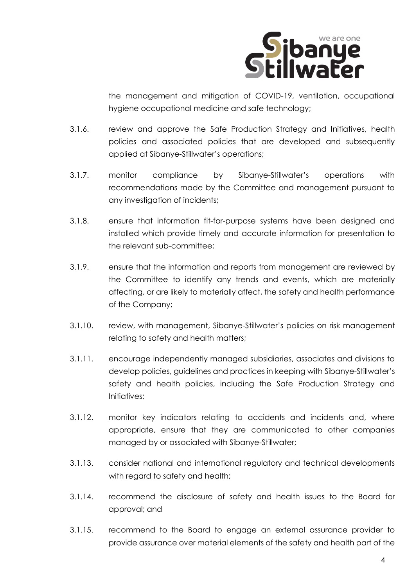

the management and mitigation of COVID-19, ventilation, occupational hygiene occupational medicine and safe technology;

- 3.1.6. review and approve the Safe Production Strategy and Initiatives, health policies and associated policies that are developed and subsequently applied at Sibanye-Stillwater's operations;
- 3.1.7. monitor compliance by Sibanye-Stillwater's operations with recommendations made by the Committee and management pursuant to any investigation of incidents;
- 3.1.8. ensure that information fit-for-purpose systems have been designed and installed which provide timely and accurate information for presentation to the relevant sub-committee;
- 3.1.9. ensure that the information and reports from management are reviewed by the Committee to identify any trends and events, which are materially affecting, or are likely to materially affect, the safety and health performance of the Company;
- 3.1.10. review, with management, Sibanye-Stillwater's policies on risk management relating to safety and health matters;
- 3.1.11. encourage independently managed subsidiaries, associates and divisions to develop policies, guidelines and practices in keeping with Sibanye-Stillwater's safety and health policies, including the Safe Production Strategy and Initiatives;
- 3.1.12. monitor key indicators relating to accidents and incidents and, where appropriate, ensure that they are communicated to other companies managed by or associated with Sibanye-Stillwater;
- 3.1.13. consider national and international regulatory and technical developments with regard to safety and health;
- 3.1.14. recommend the disclosure of safety and health issues to the Board for approval; and
- 3.1.15. recommend to the Board to engage an external assurance provider to provide assurance over material elements of the safety and health part of the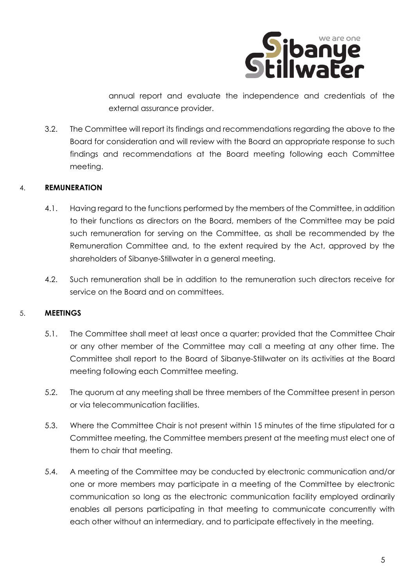

annual report and evaluate the independence and credentials of the external assurance provider.

3.2. The Committee will report its findings and recommendations regarding the above to the Board for consideration and will review with the Board an appropriate response to such findings and recommendations at the Board meeting following each Committee meeting.

## 4. **REMUNERATION**

- 4.1. Having regard to the functions performed by the members of the Committee, in addition to their functions as directors on the Board, members of the Committee may be paid such remuneration for serving on the Committee, as shall be recommended by the Remuneration Committee and, to the extent required by the Act, approved by the shareholders of Sibanye-Stillwater in a general meeting.
- 4.2. Such remuneration shall be in addition to the remuneration such directors receive for service on the Board and on committees.

#### 5. **MEETINGS**

- 5.1. The Committee shall meet at least once a quarter; provided that the Committee Chair or any other member of the Committee may call a meeting at any other time. The Committee shall report to the Board of Sibanye-Stillwater on its activities at the Board meeting following each Committee meeting.
- 5.2. The quorum at any meeting shall be three members of the Committee present in person or via telecommunication facilities.
- 5.3. Where the Committee Chair is not present within 15 minutes of the time stipulated for a Committee meeting, the Committee members present at the meeting must elect one of them to chair that meeting.
- 5.4. A meeting of the Committee may be conducted by electronic communication and/or one or more members may participate in a meeting of the Committee by electronic communication so long as the electronic communication facility employed ordinarily enables all persons participating in that meeting to communicate concurrently with each other without an intermediary, and to participate effectively in the meeting.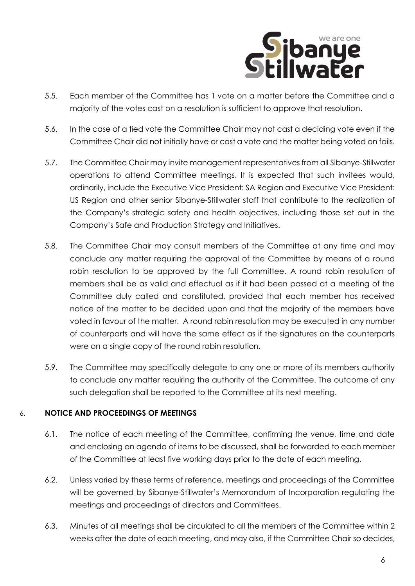

- 5.5. Each member of the Committee has 1 vote on a matter before the Committee and a majority of the votes cast on a resolution is sufficient to approve that resolution.
- 5.6. In the case of a tied vote the Committee Chair may not cast a deciding vote even if the Committee Chair did not initially have or cast a vote and the matter being voted on fails.
- 5.7. The Committee Chair may invite management representatives from all Sibanye-Stillwater operations to attend Committee meetings. It is expected that such invitees would, ordinarily, include the Executive Vice President: SA Region and Executive Vice President: US Region and other senior Sibanye-Stillwater staff that contribute to the realization of the Company's strategic safety and health objectives, including those set out in the Company's Safe and Production Strategy and Initiatives.
- 5.8. The Committee Chair may consult members of the Committee at any time and may conclude any matter requiring the approval of the Committee by means of a round robin resolution to be approved by the full Committee. A round robin resolution of members shall be as valid and effectual as if it had been passed at a meeting of the Committee duly called and constituted, provided that each member has received notice of the matter to be decided upon and that the majority of the members have voted in favour of the matter. A round robin resolution may be executed in any number of counterparts and will have the same effect as if the signatures on the counterparts were on a single copy of the round robin resolution.
- 5.9. The Committee may specifically delegate to any one or more of its members authority to conclude any matter requiring the authority of the Committee. The outcome of any such delegation shall be reported to the Committee at its next meeting.

# 6. **NOTICE AND PROCEEDINGS OF MEETINGS**

- 6.1. The notice of each meeting of the Committee, confirming the venue, time and date and enclosing an agenda of items to be discussed, shall be forwarded to each member of the Committee at least five working days prior to the date of each meeting.
- 6.2. Unless varied by these terms of reference, meetings and proceedings of the Committee will be governed by Sibanye-Stillwater's Memorandum of Incorporation regulating the meetings and proceedings of directors and Committees.
- 6.3. Minutes of all meetings shall be circulated to all the members of the Committee within 2 weeks after the date of each meeting, and may also, if the Committee Chair so decides,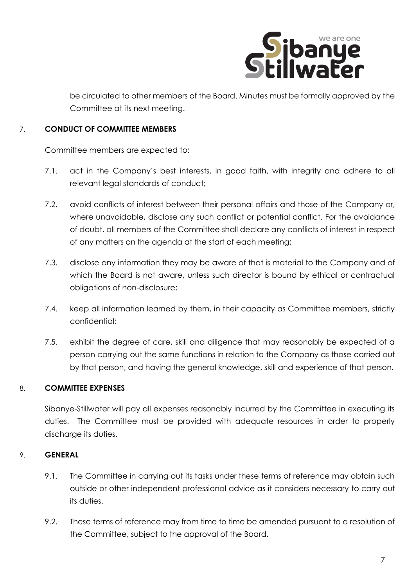

be circulated to other members of the Board. Minutes must be formally approved by the Committee at its next meeting.

## 7. **CONDUCT OF COMMITTEE MEMBERS**

Committee members are expected to:

- 7.1. act in the Company's best interests, in good faith, with integrity and adhere to all relevant legal standards of conduct;
- 7.2. avoid conflicts of interest between their personal affairs and those of the Company or, where unavoidable, disclose any such conflict or potential conflict. For the avoidance of doubt, all members of the Committee shall declare any conflicts of interest in respect of any matters on the agenda at the start of each meeting;
- 7.3. disclose any information they may be aware of that is material to the Company and of which the Board is not aware, unless such director is bound by ethical or contractual obligations of non-disclosure;
- 7.4. keep all information learned by them, in their capacity as Committee members, strictly confidential;
- 7.5. exhibit the degree of care, skill and diligence that may reasonably be expected of a person carrying out the same functions in relation to the Company as those carried out by that person, and having the general knowledge, skill and experience of that person.

# 8. **COMMITTEE EXPENSES**

Sibanye-Stillwater will pay all expenses reasonably incurred by the Committee in executing its duties. The Committee must be provided with adequate resources in order to properly discharge its duties.

# 9. **GENERAL**

- 9.1. The Committee in carrying out its tasks under these terms of reference may obtain such outside or other independent professional advice as it considers necessary to carry out its duties.
- 9.2. These terms of reference may from time to time be amended pursuant to a resolution of the Committee, subject to the approval of the Board.